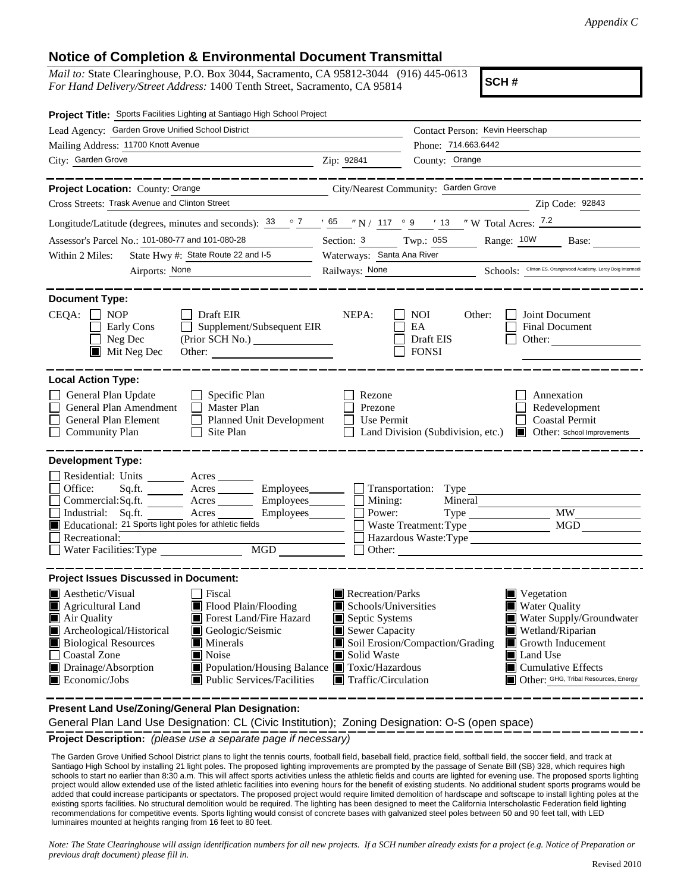## **Notice of Completion & Environmental Document Transmittal**

*Mail to:* State Clearinghouse, P.O. Box 3044, Sacramento, CA 95812-3044 (916) 445-0613 *For Hand Delivery/Street Address:* 1400 Tenth Street, Sacramento, CA 95814

**SCH #**

| Project Title: Sports Facilities Lighting at Santiago High School Project                                                                                                                                                                                                                                                                                                                                                    |                                                                                                                                   |                                                                                                                                                                                                                                              |  |  |
|------------------------------------------------------------------------------------------------------------------------------------------------------------------------------------------------------------------------------------------------------------------------------------------------------------------------------------------------------------------------------------------------------------------------------|-----------------------------------------------------------------------------------------------------------------------------------|----------------------------------------------------------------------------------------------------------------------------------------------------------------------------------------------------------------------------------------------|--|--|
| Lead Agency: Garden Grove Unified School District                                                                                                                                                                                                                                                                                                                                                                            |                                                                                                                                   | Contact Person: Kevin Heerschap                                                                                                                                                                                                              |  |  |
| Mailing Address: 11700 Knott Avenue                                                                                                                                                                                                                                                                                                                                                                                          |                                                                                                                                   | Phone: 714.663.6442                                                                                                                                                                                                                          |  |  |
| City: Garden Grove<br><u>2ip: 92841</u>                                                                                                                                                                                                                                                                                                                                                                                      |                                                                                                                                   | County: Orange                                                                                                                                                                                                                               |  |  |
| Project Location: County: Orange<br>City/Nearest Community: Garden Grove                                                                                                                                                                                                                                                                                                                                                     |                                                                                                                                   |                                                                                                                                                                                                                                              |  |  |
| Cross Streets: Trask Avenue and Clinton Street                                                                                                                                                                                                                                                                                                                                                                               |                                                                                                                                   | Zip Code: 92843                                                                                                                                                                                                                              |  |  |
| Longitude/Latitude (degrees, minutes and seconds): $\frac{33}{2}$ $\frac{7}{2}$ $\frac{7}{2}$ $\frac{65}{2}$ $\frac{7}{2}$ N / 117 $\degree$ 9 $\degree$ 13 $\degree$ W Total Acres: $\frac{7.2}{2}$                                                                                                                                                                                                                         |                                                                                                                                   |                                                                                                                                                                                                                                              |  |  |
| Assessor's Parcel No.: 101-080-77 and 101-080-28<br><u> 1999 - Jan Jawa</u>                                                                                                                                                                                                                                                                                                                                                  |                                                                                                                                   | Range: 10W<br>Base:                                                                                                                                                                                                                          |  |  |
| State Hwy #: State Route 22 and I-5<br>Within 2 Miles:                                                                                                                                                                                                                                                                                                                                                                       | Section: 3 Twp.: 05S<br>Waterways: Santa Ana River                                                                                |                                                                                                                                                                                                                                              |  |  |
| Airports: None                                                                                                                                                                                                                                                                                                                                                                                                               |                                                                                                                                   | Railways: None Schools: Clinton ES, Orangewood Academy, Leroy Doig Intermedi                                                                                                                                                                 |  |  |
|                                                                                                                                                                                                                                                                                                                                                                                                                              |                                                                                                                                   |                                                                                                                                                                                                                                              |  |  |
| <b>Document Type:</b>                                                                                                                                                                                                                                                                                                                                                                                                        |                                                                                                                                   |                                                                                                                                                                                                                                              |  |  |
| $CEQA: \Box NP$<br>$\Box$ Draft EIR<br>Supplement/Subsequent EIR<br>Early Cons<br>$\mathcal{L}^{\mathcal{A}}$<br>$\Box$ Neg Dec<br>$\blacksquare$ Mit Neg Dec<br>Other:                                                                                                                                                                                                                                                      | NEPA:                                                                                                                             | Joint Document<br><b>NOI</b><br>Other:<br>EA<br><b>Final Document</b><br>Draft EIS<br>Other:<br><b>FONSI</b>                                                                                                                                 |  |  |
| <b>Local Action Type:</b>                                                                                                                                                                                                                                                                                                                                                                                                    |                                                                                                                                   |                                                                                                                                                                                                                                              |  |  |
| General Plan Update<br>Specific Plan<br>$\Box$ Master Plan<br>General Plan Amendment<br>General Plan Element<br>Planned Unit Development<br>$\Box$ Site Plan<br><b>Community Plan</b>                                                                                                                                                                                                                                        | Rezone<br>Prezone<br>$\Box$ Use Permit                                                                                            | Annexation<br>Redevelopment<br><b>Coastal Permit</b><br>Land Division (Subdivision, etc.)<br>Other: School Improvements                                                                                                                      |  |  |
| <b>Development Type:</b>                                                                                                                                                                                                                                                                                                                                                                                                     |                                                                                                                                   |                                                                                                                                                                                                                                              |  |  |
| Residential: Units _______ Acres ______<br>Office:<br>Acres<br>Sq.ft.<br>Commercial:Sq.ft. ________ Acres _______<br>Industrial: Sq.ft. Acres<br>Employees________<br>Educational: 21 Sports light poles for athletic fields<br>Recreational:                                                                                                                                                                                | Mining:<br>Power:                                                                                                                 | Employees Transportation: Type<br>Mineral<br>Type<br>MW<br>Waste Treatment: Type<br>Hazardous Waste:Type<br>Other:                                                                                                                           |  |  |
| <b>Project Issues Discussed in Document:</b>                                                                                                                                                                                                                                                                                                                                                                                 |                                                                                                                                   |                                                                                                                                                                                                                                              |  |  |
| <b>Aesthetic/Visual</b><br>  Fiscal<br>Flood Plain/Flooding<br>$\blacksquare$ Agricultural Land<br>Forest Land/Fire Hazard<br>Air Quality<br>Archeological/Historical<br>Geologic/Seismic<br><b>Biological Resources</b><br>Minerals<br><b>Coastal Zone</b><br>$\blacksquare$ Noise<br>Drainage/Absorption<br>■ Population/Housing Balance ■ Toxic/Hazardous<br>$\blacksquare$ Economic/Jobs<br>■ Public Services/Facilities | Recreation/Parks<br>Schools/Universities<br>Septic Systems<br>Sewer Capacity<br>Solid Waste<br>$\blacksquare$ Traffic/Circulation | ■ Vegetation<br><b>Water Quality</b><br>Water Supply/Groundwater<br>Wetland/Riparian<br>Soil Erosion/Compaction/Grading<br>$\Box$ Growth Inducement<br>Land Use<br>$\blacksquare$ Cumulative Effects<br>Other: GHG, Tribal Resources, Energy |  |  |

**Present Land Use/Zoning/General Plan Designation:**

General Plan Land Use Designation: CL (Civic Institution); Zoning Designation: O-S (open space)

**Project Description:** *(please use a separate page if necessary)*

The Garden Grove Unified School District plans to light the tennis courts, football field, baseball field, practice field, softball field, the soccer field, and track at Santiago High School by installing 21 light poles. The proposed lighting improvements are prompted by the passage of Senate Bill (SB) 328, which requires high schools to start no earlier than 8:30 a.m. This will affect sports activities unless the athletic fields and courts are lighted for evening use. The proposed sports lighting project would allow extended use of the listed athletic facilities into evening hours for the benefit of existing students. No additional student sports programs would be added that could increase participants or spectators. The proposed project would require limited demolition of hardscape and softscape to install lighting poles at the existing sports facilities. No structural demolition would be required. The lighting has been designed to meet the California Interscholastic Federation field lighting recommendations for competitive events. Sports lighting would consist of concrete bases with galvanized steel poles between 50 and 90 feet tall, with LED luminaires mounted at heights ranging from 16 feet to 80 feet.

*Note: The State Clearinghouse will assign identification numbers for all new projects. If a SCH number already exists for a project (e.g. Notice of Preparation or previous draft document) please fill in.*